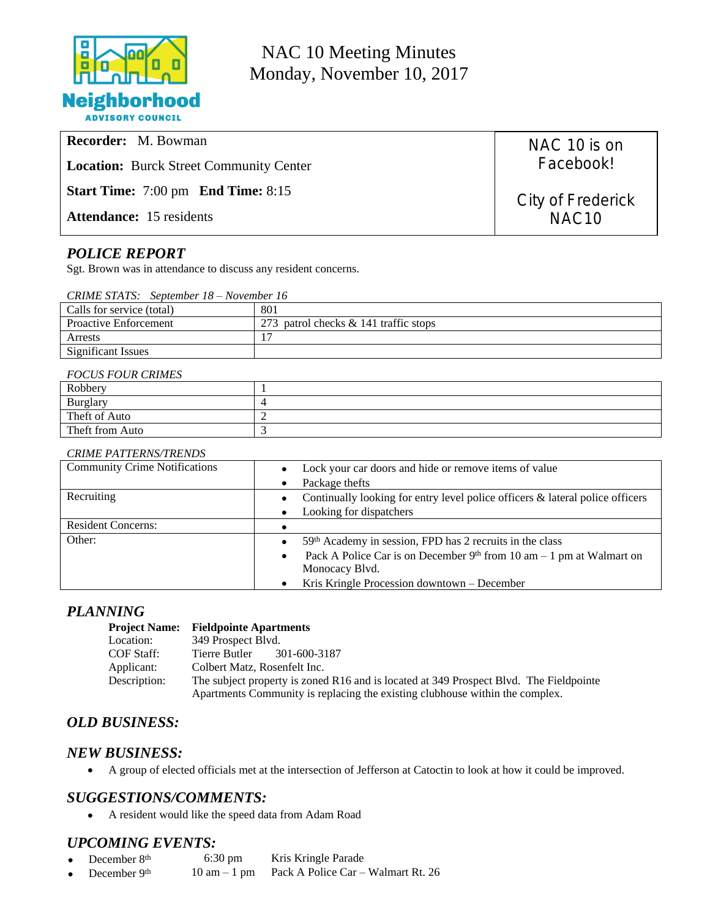

NAC 10 Meeting Minutes Monday, November 10, 2017

| <b>Recorder:</b> M. Bowman                            |  |
|-------------------------------------------------------|--|
| <b>Location:</b> Burck Street Community Center        |  |
| <b>Start Time:</b> $7:00 \text{ pm}$ End Time: $8:15$ |  |
| <b>Attendance:</b> 15 residents                       |  |

## *POLICE REPORT*

Sgt. Brown was in attendance to discuss any resident concerns.

|  |  | CRIME STATS: September 18 – November 16 |  |
|--|--|-----------------------------------------|--|
|--|--|-----------------------------------------|--|

| Calls for service (total)    | 801                                   |
|------------------------------|---------------------------------------|
| <b>Proactive Enforcement</b> | 273 patrol checks & 141 traffic stops |
| Arrests                      |                                       |
| <b>Significant Issues</b>    |                                       |

#### *FOCUS FOUR CRIMES*

| T OCOD TOOR CRIMES |  |  |
|--------------------|--|--|
| Robbery            |  |  |
| <b>Burglary</b>    |  |  |
| Theft of Auto      |  |  |
| Theft from Auto    |  |  |

#### *CRIME PATTERNS/TRENDS*

| <b>Community Crime Notifications</b> | Lock your car doors and hide or remove items of value<br>$\bullet$                         |
|--------------------------------------|--------------------------------------------------------------------------------------------|
|                                      | Package thefts                                                                             |
| Recruiting                           | Continually looking for entry level police officers & lateral police officers<br>$\bullet$ |
|                                      | Looking for dispatchers                                                                    |
| <b>Resident Concerns:</b>            |                                                                                            |
| Other:                               | 59th Academy in session, FPD has 2 recruits in the class<br>$\bullet$                      |
|                                      | Pack A Police Car is on December $9th$ from 10 am - 1 pm at Walmart on<br>$\bullet$        |
|                                      | Monocacy Blvd.                                                                             |
|                                      | Kris Kringle Procession downtown – December                                                |

#### *PLANNING*

#### **Project Name: Fieldpointe Apartments**

| Location:    | 349 Prospect Blvd.                                                                     |
|--------------|----------------------------------------------------------------------------------------|
| COF Staff:   | 301-600-3187<br>Tierre Butler                                                          |
| Applicant:   | Colbert Matz, Rosenfelt Inc.                                                           |
| Description: | The subject property is zoned R16 and is located at 349 Prospect Blvd. The Fieldpointe |
|              | Apartments Community is replacing the existing clubhouse within the complex.           |

### *OLD BUSINESS:*

### *NEW BUSINESS:*

A group of elected officials met at the intersection of Jefferson at Catoctin to look at how it could be improved.

### *SUGGESTIONS/COMMENTS:*

A resident would like the speed data from Adam Road

### *UPCOMING EVENTS:*

- December 8<sup>th</sup> 6:30 pm Kris Kringle Parade<br>December 9<sup>th</sup> 10 am 1 pm Pack A Police Car –
- December 9th 10 am 1 pm Pack A Police Car Walmart Rt. 26

NAC 10 is on Facebook!

City of Frederick NAC10